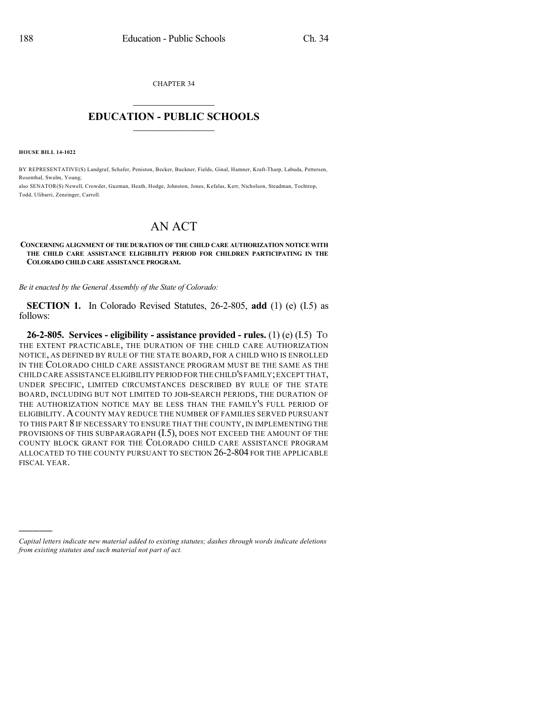CHAPTER 34  $\overline{\phantom{a}}$  . The set of the set of the set of the set of the set of the set of the set of the set of the set of the set of the set of the set of the set of the set of the set of the set of the set of the set of the set o

## **EDUCATION - PUBLIC SCHOOLS**  $\_$   $\_$   $\_$   $\_$   $\_$   $\_$   $\_$   $\_$   $\_$

**HOUSE BILL 14-1022**

)))))

BY REPRESENTATIVE(S) Landgraf, Schafer, Peniston, Becker, Buckner, Fields, Ginal, Hamner, Kraft-Tharp, Labuda, Pettersen, Rosenthal, Swalm, Young; also SENATOR(S) Newell, Crowder, Guzman, Heath, Hodge, Johnston, Jones, Kefalas, Kerr, Nicholson, Steadman, Tochtrop,

Todd, Ulibarri, Zenzinger, Carroll.

## AN ACT

## **CONCERNING ALIGNMENT OF THE DURATION OF THE CHILD CARE AUTHORIZATION NOTICE WITH THE CHILD CARE ASSISTANCE ELIGIBILITY PERIOD FOR CHILDREN PARTICIPATING IN THE COLORADO CHILD CARE ASSISTANCE PROGRAM.**

*Be it enacted by the General Assembly of the State of Colorado:*

**SECTION 1.** In Colorado Revised Statutes, 26-2-805, **add** (1) (e) (I.5) as follows:

**26-2-805. Services - eligibility - assistance provided - rules.** (1) (e) (I.5) TO THE EXTENT PRACTICABLE, THE DURATION OF THE CHILD CARE AUTHORIZATION NOTICE, AS DEFINED BY RULE OF THE STATE BOARD, FOR A CHILD WHO IS ENROLLED IN THE COLORADO CHILD CARE ASSISTANCE PROGRAM MUST BE THE SAME AS THE CHILD CARE ASSISTANCE ELIGIBILITY PERIOD FOR THE CHILD'S FAMILY;EXCEPT THAT, UNDER SPECIFIC, LIMITED CIRCUMSTANCES DESCRIBED BY RULE OF THE STATE BOARD, INCLUDING BUT NOT LIMITED TO JOB-SEARCH PERIODS, THE DURATION OF THE AUTHORIZATION NOTICE MAY BE LESS THAN THE FAMILY'S FULL PERIOD OF ELIGIBILITY.ACOUNTY MAY REDUCE THE NUMBER OF FAMILIES SERVED PURSUANT TO THIS PART 8 IF NECESSARY TO ENSURE THAT THE COUNTY, IN IMPLEMENTING THE PROVISIONS OF THIS SUBPARAGRAPH  $(I.5)$ , DOES NOT EXCEED THE AMOUNT OF THE COUNTY BLOCK GRANT FOR THE COLORADO CHILD CARE ASSISTANCE PROGRAM ALLOCATED TO THE COUNTY PURSUANT TO SECTION 26-2-804 FOR THE APPLICABLE FISCAL YEAR.

*Capital letters indicate new material added to existing statutes; dashes through words indicate deletions from existing statutes and such material not part of act.*